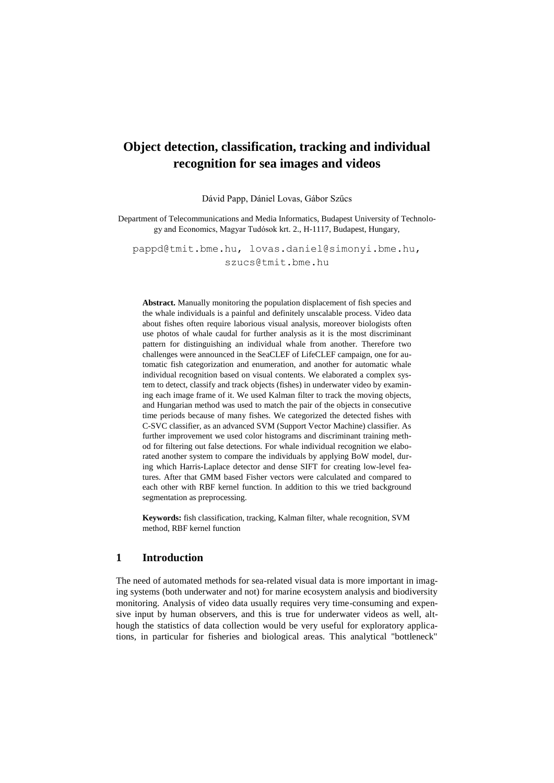# **Object detection, classification, tracking and individual recognition for sea images and videos**

Dávid Papp, Dániel Lovas, Gábor Szűcs

Department of Telecommunications and Media Informatics, Budapest University of Technology and Economics, Magyar Tudósok krt. 2., H-1117, Budapest, Hungary,

pappd@tmit.bme.hu, [lovas.daniel@simonyi.bme.hu,](mailto:lovas.daniel@simonyi.bme.hu) szucs@tmit.bme.hu

**Abstract.** Manually monitoring the population displacement of fish species and the whale individuals is a painful and definitely unscalable process. Video data about fishes often require laborious visual analysis, moreover biologists often use photos of whale caudal for further analysis as it is the most discriminant pattern for distinguishing an individual whale from another. Therefore two challenges were announced in the SeaCLEF of LifeCLEF campaign, one for automatic fish categorization and enumeration, and another for automatic whale individual recognition based on visual contents. We elaborated a complex system to detect, classify and track objects (fishes) in underwater video by examining each image frame of it. We used Kalman filter to track the moving objects, and Hungarian method was used to match the pair of the objects in consecutive time periods because of many fishes. We categorized the detected fishes with C-SVC classifier, as an advanced SVM (Support Vector Machine) classifier. As further improvement we used color histograms and discriminant training method for filtering out false detections. For whale individual recognition we elaborated another system to compare the individuals by applying BoW model, during which Harris-Laplace detector and dense SIFT for creating low-level features. After that GMM based Fisher vectors were calculated and compared to each other with RBF kernel function. In addition to this we tried background segmentation as preprocessing.

**Keywords:** fish classification, tracking, Kalman filter, whale recognition, SVM method, RBF kernel function

### **1 Introduction**

The need of automated methods for sea-related visual data is more important in imaging systems (both underwater and not) for marine ecosystem analysis and biodiversity monitoring. Analysis of video data usually requires very time-consuming and expensive input by human observers, and this is true for underwater videos as well, although the statistics of data collection would be very useful for exploratory applications, in particular for fisheries and biological areas. This analytical "bottleneck"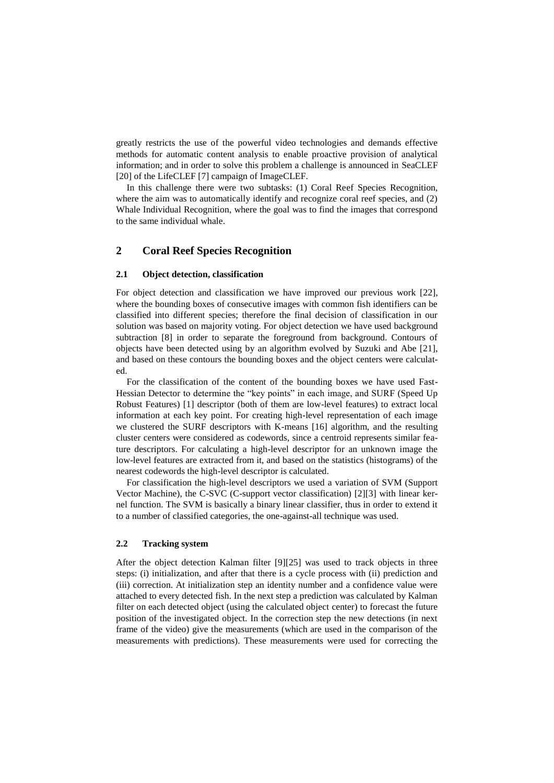greatly restricts the use of the powerful video technologies and demands effective methods for automatic content analysis to enable proactive provision of analytical information; and in order to solve this problem a challenge is announced in SeaCLEF [\[20\]](#page-7-0) of the LifeCLEF [\[7\]](#page-7-1) campaign of ImageCLEF.

In this challenge there were two subtasks: (1) Coral Reef Species Recognition, where the aim was to automatically identify and recognize coral reef species, and (2) Whale Individual Recognition, where the goal was to find the images that correspond to the same individual whale.

# **2 Coral Reef Species Recognition**

#### **2.1 Object detection, classification**

For object detection and classification we have improved our previous work [\[22\]](#page-8-0), where the bounding boxes of consecutive images with common fish identifiers can be classified into different species; therefore the final decision of classification in our solution was based on majority voting. For object detection we have used background subtraction [\[8\]](#page-7-2) in order to separate the foreground from background. Contours of objects have been detected using by an algorithm evolved by Suzuki and Abe [\[21\]](#page-7-3), and based on these contours the bounding boxes and the object centers were calculated.

For the classification of the content of the bounding boxes we have used Fast-Hessian Detector to determine the "key points" in each image, and SURF (Speed Up Robust Features) [\[1\]](#page-6-0) descriptor (both of them are low-level features) to extract local information at each key point. For creating high-level representation of each image we clustered the SURF descriptors with K-means [\[16\]](#page-7-4) algorithm, and the resulting cluster centers were considered as codewords, since a centroid represents similar feature descriptors. For calculating a high-level descriptor for an unknown image the low-level features are extracted from it, and based on the statistics (histograms) of the nearest codewords the high-level descriptor is calculated.

For classification the high-level descriptors we used a variation of SVM (Support Vector Machine), the C-SVC (C-support vector classification) [\[2\]](#page-7-5)[\[3\]](#page-7-6) with linear kernel function. The SVM is basically a binary linear classifier, thus in order to extend it to a number of classified categories, the one-against-all technique was used.

### **2.2 Tracking system**

After the object detection Kalman filter [\[9\]](#page-7-7)[\[25\]](#page-8-1) was used to track objects in three steps: (i) initialization, and after that there is a cycle process with (ii) prediction and (iii) correction. At initialization step an identity number and a confidence value were attached to every detected fish. In the next step a prediction was calculated by Kalman filter on each detected object (using the calculated object center) to forecast the future position of the investigated object. In the correction step the new detections (in next frame of the video) give the measurements (which are used in the comparison of the measurements with predictions). These measurements were used for correcting the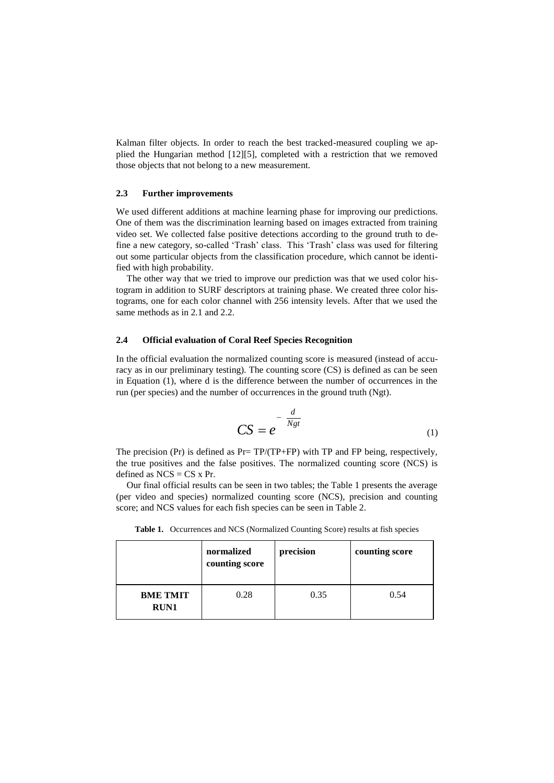Kalman filter objects. In order to reach the best tracked-measured coupling we applied the Hungarian method [\[12\]](#page-7-8)[\[5\]](#page-7-9), completed with a restriction that we removed those objects that not belong to a new measurement.

### **2.3 Further improvements**

We used different additions at machine learning phase for improving our predictions. One of them was the discrimination learning based on images extracted from training video set. We collected false positive detections according to the ground truth to define a new category, so-called 'Trash' class. This 'Trash' class was used for filtering out some particular objects from the classification procedure, which cannot be identified with high probability.

The other way that we tried to improve our prediction was that we used color histogram in addition to SURF descriptors at training phase. We created three color histograms, one for each color channel with 256 intensity levels. After that we used the same methods as in 2.1 and 2.2.

#### **2.4 Official evaluation of Coral Reef Species Recognition**

In the official evaluation the normalized counting score is measured (instead of accuracy as in our preliminary testing). The counting score (CS) is defined as can be seen in Equation (1), where d is the difference between the number of occurrences in the run (per species) and the number of occurrences in the ground truth (Ngt).

$$
CS = e^{-\frac{d}{Ngt}}
$$
 (1)

The precision (Pr) is defined as Pr= TP/(TP+FP) with TP and FP being, respectively, the true positives and the false positives. The normalized counting score (NCS) is defined as  $NCS = CS \times Pr$ .

Our final official results can be seen in two tables; the Table 1 presents the average (per video and species) normalized counting score (NCS), precision and counting score; and NCS values for each fish species can be seen in Table 2.

**Table 1.** Occurrences and NCS (Normalized Counting Score) results at fish species

|                                | normalized<br>counting score | precision | counting score |
|--------------------------------|------------------------------|-----------|----------------|
| <b>BME TMIT</b><br><b>RUN1</b> | 0.28                         | 0.35      | 0.54           |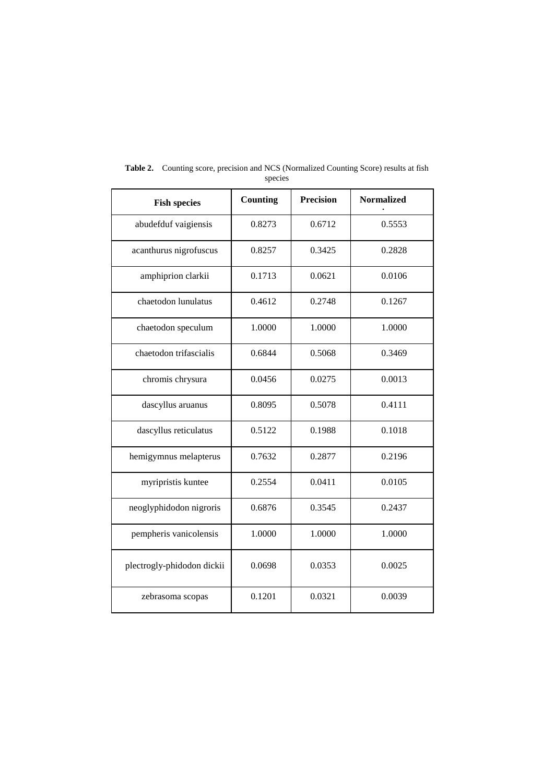| <b>Fish species</b>        | Counting | <b>Precision</b> | <b>Normalized</b> |
|----------------------------|----------|------------------|-------------------|
| abudefduf vaigiensis       | 0.8273   | 0.6712           | 0.5553            |
| acanthurus nigrofuscus     | 0.8257   | 0.3425           | 0.2828            |
| amphiprion clarkii         | 0.1713   | 0.0621           | 0.0106            |
| chaetodon lunulatus        | 0.4612   | 0.2748           | 0.1267            |
| chaetodon speculum         | 1.0000   | 1.0000           | 1.0000            |
| chaetodon trifascialis     | 0.6844   | 0.5068           | 0.3469            |
| chromis chrysura           | 0.0456   | 0.0275           | 0.0013            |
| dascyllus aruanus          | 0.8095   | 0.5078           | 0.4111            |
| dascyllus reticulatus      | 0.5122   | 0.1988           | 0.1018            |
| hemigymnus melapterus      | 0.7632   | 0.2877           | 0.2196            |
| myripristis kuntee         | 0.2554   | 0.0411           | 0.0105            |
| neoglyphidodon nigroris    | 0.6876   | 0.3545           | 0.2437            |
| pempheris vanicolensis     | 1.0000   | 1.0000           | 1.0000            |
| plectrogly-phidodon dickii | 0.0698   | 0.0353           | 0.0025            |
| zebrasoma scopas           | 0.1201   | 0.0321           | 0.0039            |

**Table 2.** Counting score, precision and NCS (Normalized Counting Score) results at fish species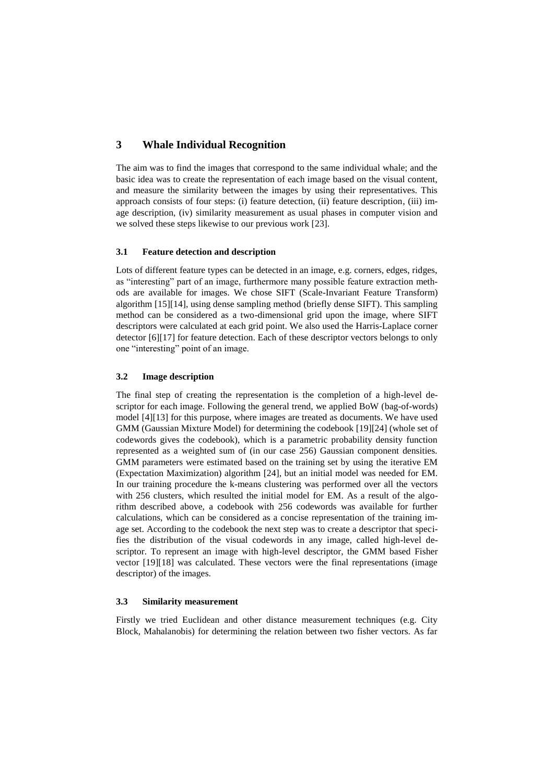## **3 Whale Individual Recognition**

The aim was to find the images that correspond to the same individual whale; and the basic idea was to create the representation of each image based on the visual content, and measure the similarity between the images by using their representatives. This approach consists of four steps: (i) feature detection, (ii) feature description, (iii) image description, (iv) similarity measurement as usual phases in computer vision and we solved these steps likewise to our previous work [\[23\]](#page-8-2).

#### **3.1 Feature detection and description**

Lots of different feature types can be detected in an image, e.g. corners, edges, ridges, as "interesting" part of an image, furthermore many possible feature extraction methods are available for images. We chose SIFT (Scale-Invariant Feature Transform) algorithm [\[15\]](#page-7-10)[\[14\]](#page-7-11), using dense sampling method (briefly dense SIFT). This sampling method can be considered as a two-dimensional grid upon the image, where SIFT descriptors were calculated at each grid point. We also used the Harris-Laplace corner detector [\[6\]](#page-7-12)[\[17\]](#page-7-13) for feature detection. Each of these descriptor vectors belongs to only one "interesting" point of an image.

#### **3.2 Image description**

The final step of creating the representation is the completion of a high-level descriptor for each image. Following the general trend, we applied BoW (bag-of-words) model [\[4\]](#page-7-14)[\[13\]](#page-7-15) for this purpose, where images are treated as documents. We have used GMM (Gaussian Mixture Model) for determining the codebook [\[19\]](#page-7-16)[\[24\]](#page-8-3) (whole set of codewords gives the codebook), which is a parametric probability density function represented as a weighted sum of (in our case 256) Gaussian component densities. GMM parameters were estimated based on the training set by using the iterative EM (Expectation Maximization) algorithm [\[24\]](#page-8-3), but an initial model was needed for EM. In our training procedure the k-means clustering was performed over all the vectors with 256 clusters, which resulted the initial model for EM. As a result of the algorithm described above, a codebook with 256 codewords was available for further calculations, which can be considered as a concise representation of the training image set. According to the codebook the next step was to create a descriptor that specifies the distribution of the visual codewords in any image, called high-level descriptor. To represent an image with high-level descriptor, the GMM based Fisher vector [\[19\]](#page-7-16)[\[18\]](#page-7-17) was calculated. These vectors were the final representations (image descriptor) of the images.

#### **3.3 Similarity measurement**

Firstly we tried Euclidean and other distance measurement techniques (e.g. City Block, Mahalanobis) for determining the relation between two fisher vectors. As far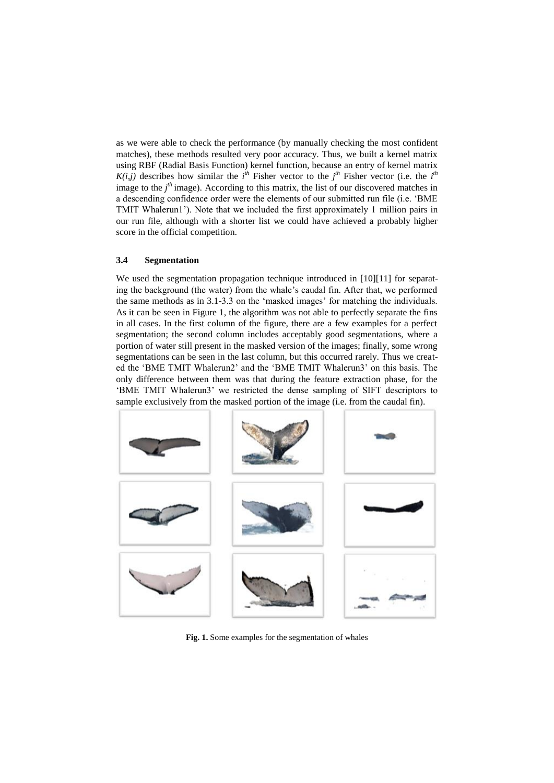as we were able to check the performance (by manually checking the most confident matches), these methods resulted very poor accuracy. Thus, we built a kernel matrix using RBF (Radial Basis Function) kernel function, because an entry of kernel matrix  $K(i,j)$  describes how similar the *i*<sup>th</sup> Fisher vector to the *j*<sup>th</sup> Fisher vector (i.e. the *i*<sup>th</sup> image to the  $j<sup>th</sup>$  image). According to this matrix, the list of our discovered matches in a descending confidence order were the elements of our submitted run file (i.e. "BME TMIT Whalerun1"). Note that we included the first approximately 1 million pairs in our run file, although with a shorter list we could have achieved a probably higher score in the official competition.

### **3.4 Segmentation**

We used the segmentation propagation technique introduced in [\[10\]](#page-7-18)[\[11\]](#page-7-19) for separating the background (the water) from the whale"s caudal fin. After that, we performed the same methods as in 3.1-3.3 on the 'masked images' for matching the individuals. As it can be seen in Figure 1, the algorithm was not able to perfectly separate the fins in all cases. In the first column of the figure, there are a few examples for a perfect segmentation; the second column includes acceptably good segmentations, where a portion of water still present in the masked version of the images; finally, some wrong segmentations can be seen in the last column, but this occurred rarely. Thus we created the "BME TMIT Whalerun2" and the "BME TMIT Whalerun3" on this basis. The only difference between them was that during the feature extraction phase, for the "BME TMIT Whalerun3" we restricted the dense sampling of SIFT descriptors to sample exclusively from the masked portion of the image (i.e. from the caudal fin).



Fig. 1. Some examples for the segmentation of whales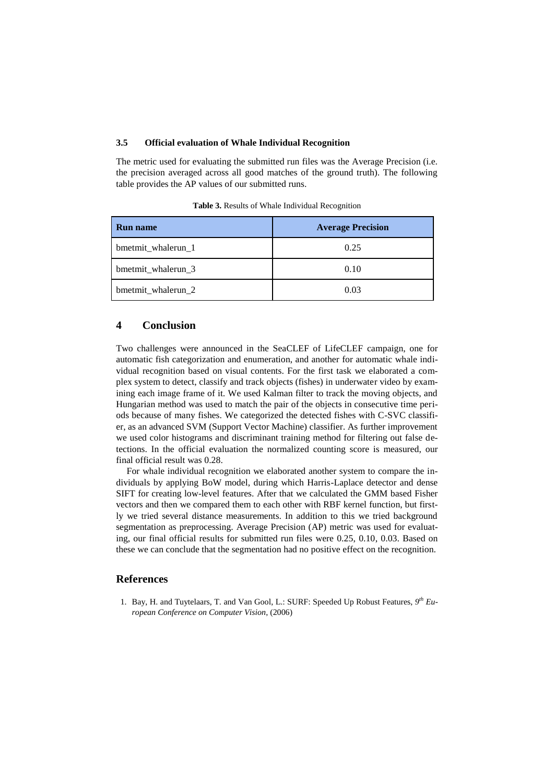#### **3.5 Official evaluation of Whale Individual Recognition**

The metric used for evaluating the submitted run files was the Average Precision (i.e. the precision averaged across all good matches of the ground truth). The following table provides the AP values of our submitted runs.

| <b>Run name</b>    | <b>Average Precision</b> |
|--------------------|--------------------------|
| bmetmit whalerun 1 | 0.25                     |
| bmetmit_whalerun_3 | 0.10                     |
| bmetmit_whalerun_2 | 0.03                     |

**Table 3.** Results of Whale Individual Recognition

# **4 Conclusion**

Two challenges were announced in the SeaCLEF of LifeCLEF campaign, one for automatic fish categorization and enumeration, and another for automatic whale individual recognition based on visual contents. For the first task we elaborated a complex system to detect, classify and track objects (fishes) in underwater video by examining each image frame of it. We used Kalman filter to track the moving objects, and Hungarian method was used to match the pair of the objects in consecutive time periods because of many fishes. We categorized the detected fishes with C-SVC classifier, as an advanced SVM (Support Vector Machine) classifier. As further improvement we used color histograms and discriminant training method for filtering out false detections. In the official evaluation the normalized counting score is measured, our final official result was 0.28.

For whale individual recognition we elaborated another system to compare the individuals by applying BoW model, during which Harris-Laplace detector and dense SIFT for creating low-level features. After that we calculated the GMM based Fisher vectors and then we compared them to each other with RBF kernel function, but firstly we tried several distance measurements. In addition to this we tried background segmentation as preprocessing. Average Precision (AP) metric was used for evaluating, our final official results for submitted run files were 0.25, 0.10, 0.03. Based on these we can conclude that the segmentation had no positive effect on the recognition.

#### **References**

<span id="page-6-0"></span>1. Bay, H. and Tuytelaars, T. and Van Gool, L.: SURF: Speeded Up Robust Features, 9<sup>th</sup> Eu*ropean Conference on Computer Vision*, (2006)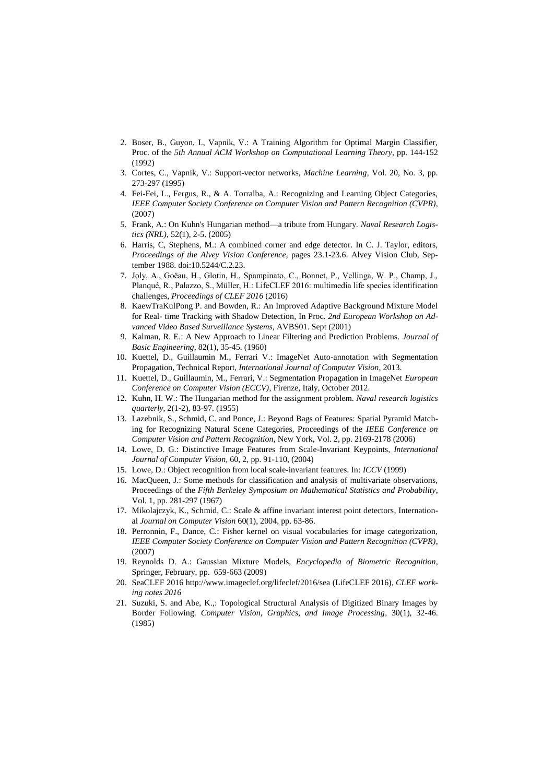- <span id="page-7-5"></span>2. Boser, B., Guyon, I., Vapnik, V.: A Training Algorithm for Optimal Margin Classifier, Proc. of the *5th Annual ACM Workshop on Computational Learning Theory*, pp. 144-152 (1992)
- <span id="page-7-6"></span>3. Cortes, C., Vapnik, V.: Support-vector networks*, Machine Learning*, Vol. 20, No. 3, pp. 273-297 (1995)
- <span id="page-7-14"></span>4. Fei-Fei, L., Fergus, R., & A. Torralba, A.: Recognizing and Learning Object Categories, *IEEE Computer Society Conference on Computer Vision and Pattern Recognition (CVPR)*, (2007)
- <span id="page-7-9"></span>5. Frank, A.: On Kuhn's Hungarian method—a tribute from Hungary. *Naval Research Logistics (NRL)*, 52(1), 2-5. (2005)
- <span id="page-7-12"></span>6. Harris, C, Stephens, M.: A combined corner and edge detector. In C. J. Taylor, editors, *Proceedings of the Alvey Vision Conference*, pages 23.1-23.6. Alvey Vision Club, September 1988. doi:10.5244/C.2.23.
- <span id="page-7-1"></span>7. Joly, A., Goëau, H., Glotin, H., Spampinato, C., Bonnet, P., Vellinga, W. P., Champ, J., Planqué, R., Palazzo, S., Müller, H.: LifeCLEF 2016: multimedia life species identification challenges, *Proceedings of CLEF 2016* (2016)
- <span id="page-7-2"></span>8. KaewTraKulPong P. and Bowden, R.: An Improved Adaptive Background Mixture Model for Real- time Tracking with Shadow Detection*,* In Proc. *2nd European Workshop on Advanced Video Based Surveillance Systems*, AVBS01. Sept (2001)
- <span id="page-7-7"></span>9. Kalman, R. E.: A New Approach to Linear Filtering and Prediction Problems. *Journal of Basic Engineering*, 82(1), 35-45. (1960)
- <span id="page-7-18"></span>10. Kuettel, D., Guillaumin M., Ferrari V.: ImageNet Auto-annotation with Segmentation Propagation, Technical Report, *International Journal of Computer Vision*, 2013.
- <span id="page-7-19"></span>11. Kuettel, D., Guillaumin, M., Ferrari, V.: Segmentation Propagation in ImageNet *European Conference on Computer Vision (ECCV)*, Firenze, Italy, October 2012.
- <span id="page-7-8"></span>12. Kuhn, H. W.: The Hungarian method for the assignment problem. *Naval research logistics quarterly*, 2(1‐2), 83-97. (1955)
- <span id="page-7-15"></span>13. Lazebnik, S., Schmid, C. and Ponce, J.: Beyond Bags of Features: Spatial Pyramid Matching for Recognizing Natural Scene Categories, Proceedings of the *IEEE Conference on Computer Vision and Pattern Recognition*, New York, Vol. 2, pp. 2169-2178 (2006)
- <span id="page-7-11"></span>14. Lowe, D. G.: Distinctive Image Features from Scale-Invariant Keypoints*, International Journal of Computer Vision*, 60, 2, pp. 91-110, (2004)
- <span id="page-7-10"></span>15. Lowe, D.: Object recognition from local scale-invariant features. In: *ICCV* (1999)
- <span id="page-7-4"></span>16. MacQueen, J.: Some methods for classification and analysis of multivariate observations, Proceedings of the *Fifth Berkeley Symposium on Mathematical Statistics and Probability*, Vol. 1, pp. 281-297 (1967)
- <span id="page-7-13"></span>17. Mikolajczyk, K., Schmid, C.: Scale & affine invariant interest point detectors*,* International *Journal on Computer Vision* 60(1), 2004, pp. 63-86.
- <span id="page-7-17"></span>18. Perronnin, F., Dance, C.: Fisher kernel on visual vocabularies for image categorization, *IEEE Computer Society Conference on Computer Vision and Pattern Recognition (CVPR)*, (2007)
- <span id="page-7-16"></span>19. Reynolds D. A.: Gaussian Mixture Models, *Encyclopedia of Biometric Recognition*, Springer, February, pp. 659-663 (2009)
- <span id="page-7-0"></span>20. SeaCLEF 2016 http://www.imageclef.org/lifeclef/2016/sea (LifeCLEF 2016), *CLEF working notes 2016*
- <span id="page-7-3"></span>21. Suzuki, S. and Abe, K.,: Topological Structural Analysis of Digitized Binary Images by Border Following. *Computer Vision, Graphics, and Image Processing*, 30(1), 32-46. (1985)